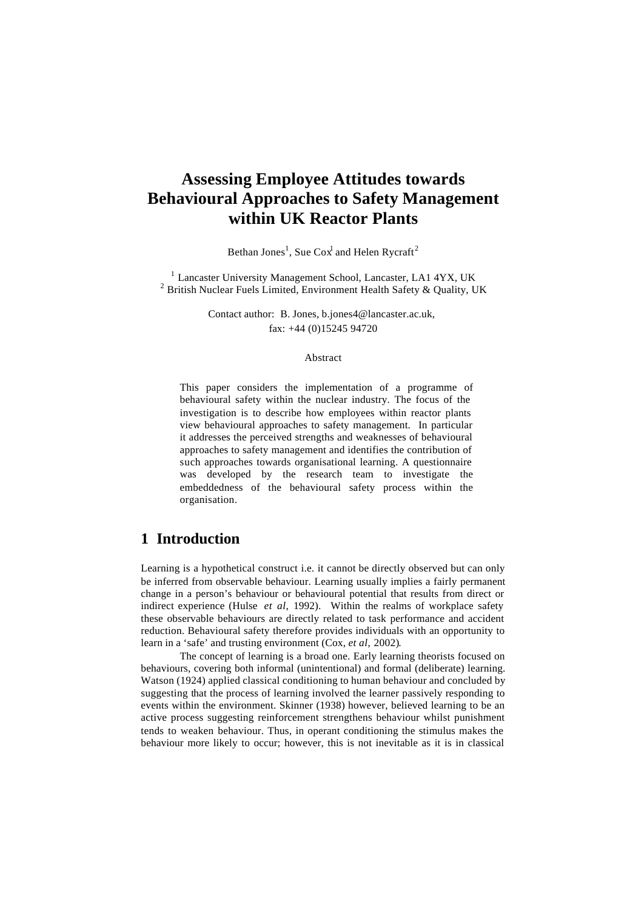# **Assessing Employee Attitudes towards Behavioural Approaches to Safety Management within UK Reactor Plants**

Bethan Jones<sup>1</sup>, Sue Cox<sup>1</sup> and Helen Rycraft<sup>2</sup>

<sup>1</sup> Lancaster University Management School, Lancaster, LA1 4YX, UK <sup>2</sup> British Nuclear Fuels Limited, Environment Health Safety & Quality, UK

> Contact author: B. Jones, b.jones4@lancaster.ac.uk, fax: +44 (0)15245 94720

#### Abstract

This paper considers the implementation of a programme of behavioural safety within the nuclear industry. The focus of the investigation is to describe how employees within reactor plants view behavioural approaches to safety management. In particular it addresses the perceived strengths and weaknesses of behavioural approaches to safety management and identifies the contribution of such approaches towards organisational learning. A questionnaire was developed by the research team to investigate the embeddedness of the behavioural safety process within the organisation.

# **1 Introduction**

Learning is a hypothetical construct i.e. it cannot be directly observed but can only be inferred from observable behaviour. Learning usually implies a fairly permanent change in a person's behaviour or behavioural potential that results from direct or indirect experience (Hulse *et al*, 1992). Within the realms of workplace safety these observable behaviours are directly related to task performance and accident reduction. Behavioural safety therefore provides individuals with an opportunity to learn in a 'safe' and trusting environment (Cox, *et al*, 2002).

The concept of learning is a broad one. Early learning theorists focused on behaviours, covering both informal (unintentional) and formal (deliberate) learning. Watson (1924) applied classical conditioning to human behaviour and concluded by suggesting that the process of learning involved the learner passively responding to events within the environment. Skinner (1938) however, believed learning to be an active process suggesting reinforcement strengthens behaviour whilst punishment tends to weaken behaviour. Thus, in operant conditioning the stimulus makes the behaviour more likely to occur; however, this is not inevitable as it is in classical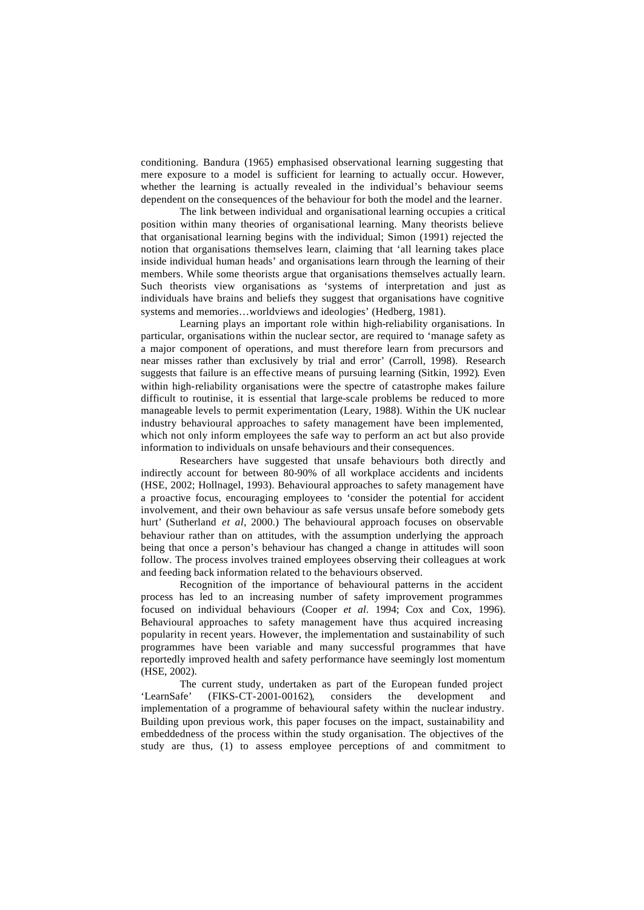conditioning. Bandura (1965) emphasised observational learning suggesting that mere exposure to a model is sufficient for learning to actually occur. However, whether the learning is actually revealed in the individual's behaviour seems dependent on the consequences of the behaviour for both the model and the learner.

The link between individual and organisational learning occupies a critical position within many theories of organisational learning. Many theorists believe that organisational learning begins with the individual; Simon (1991) rejected the notion that organisations themselves learn, claiming that 'all learning takes place inside individual human heads' and organisations learn through the learning of their members. While some theorists argue that organisations themselves actually learn. Such theorists view organisations as 'systems of interpretation and just as individuals have brains and beliefs they suggest that organisations have cognitive systems and memories…worldviews and ideologies' (Hedberg, 1981).

Learning plays an important role within high-reliability organisations. In particular, organisations within the nuclear sector, are required to 'manage safety as a major component of operations, and must therefore learn from precursors and near misses rather than exclusively by trial and error' (Carroll, 1998). Research suggests that failure is an effective means of pursuing learning (Sitkin, 1992). Even within high-reliability organisations were the spectre of catastrophe makes failure difficult to routinise, it is essential that large-scale problems be reduced to more manageable levels to permit experimentation (Leary, 1988). Within the UK nuclear industry behavioural approaches to safety management have been implemented, which not only inform employees the safe way to perform an act but also provide information to individuals on unsafe behaviours and their consequences.

Researchers have suggested that unsafe behaviours both directly and indirectly account for between 80-90% of all workplace accidents and incidents (HSE, 2002; Hollnagel, 1993). Behavioural approaches to safety management have a proactive focus, encouraging employees to 'consider the potential for accident involvement, and their own behaviour as safe versus unsafe before somebody gets hurt' (Sutherland *et al*, 2000.) The behavioural approach focuses on observable behaviour rather than on attitudes, with the assumption underlying the approach being that once a person's behaviour has changed a change in attitudes will soon follow. The process involves trained employees observing their colleagues at work and feeding back information related to the behaviours observed.

Recognition of the importance of behavioural patterns in the accident process has led to an increasing number of safety improvement programmes focused on individual behaviours (Cooper *et al*. 1994; Cox and Cox, 1996). Behavioural approaches to safety management have thus acquired increasing popularity in recent years. However, the implementation and sustainability of such programmes have been variable and many successful programmes that have reportedly improved health and safety performance have seemingly lost momentum (HSE, 2002).

The current study, undertaken as part of the European funded project 'LearnSafe' (FIKS-CT-2001-00162), considers the development and implementation of a programme of behavioural safety within the nuclear industry. Building upon previous work, this paper focuses on the impact, sustainability and embeddedness of the process within the study organisation. The objectives of the study are thus, (1) to assess employee perceptions of and commitment to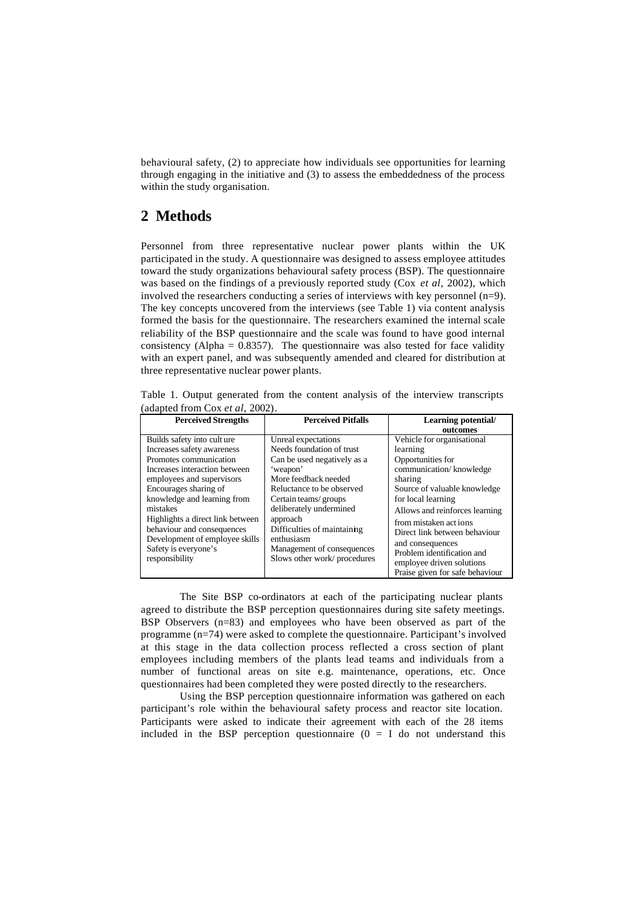behavioural safety, (2) to appreciate how individuals see opportunities for learning through engaging in the initiative and (3) to assess the embeddedness of the process within the study organisation.

# **2 Methods**

Personnel from three representative nuclear power plants within the UK participated in the study. A questionnaire was designed to assess employee attitudes toward the study organizations behavioural safety process (BSP). The questionnaire was based on the findings of a previously reported study (Cox *et al*, 2002), which involved the researchers conducting a series of interviews with key personnel (n=9). The key concepts uncovered from the interviews (see Table 1) via content analysis formed the basis for the questionnaire. The researchers examined the internal scale reliability of the BSP questionnaire and the scale was found to have good internal consistency (Alpha =  $0.8357$ ). The questionnaire was also tested for face validity with an expert panel, and was subsequently amended and cleared for distribution at three representative nuclear power plants.

Table 1. Output generated from the content analysis of the interview transcripts (adapted from Cox *et al*, 2002).

| <b>Perceived Strengths</b>                                                                                                                                                                                                                                                                                                                                          | <b>Perceived Pitfalls</b>                                                                                                                                                                                                                                                                                                 | <b>Learning potential/</b><br>outcomes                                                                                                                                                                                                                                                                                                                                 |  |
|---------------------------------------------------------------------------------------------------------------------------------------------------------------------------------------------------------------------------------------------------------------------------------------------------------------------------------------------------------------------|---------------------------------------------------------------------------------------------------------------------------------------------------------------------------------------------------------------------------------------------------------------------------------------------------------------------------|------------------------------------------------------------------------------------------------------------------------------------------------------------------------------------------------------------------------------------------------------------------------------------------------------------------------------------------------------------------------|--|
| Builds safety into cult ure<br>Increases safety awareness<br>Promotes communication<br>Increases interaction between<br>employees and supervisors<br>Encourages sharing of<br>knowledge and learning from<br>mistakes<br>Highlights a direct link between<br>behaviour and consequences<br>Development of employee skills<br>Safety is everyone's<br>responsibility | Unreal expectations<br>Needs foundation of trust<br>Can be used negatively as a<br>'weapon'<br>More feedback needed<br>Reluctance to be observed<br>Certain teams/groups<br>deliberately undermined<br>approach<br>Difficulties of maintaining<br>enthusiasm<br>Management of consequences<br>Slows other work/procedures | Vehicle for organisational<br>learning<br>Opportunities for<br>communication/knowledge<br>sharing<br>Source of valuable knowledge<br>for local learning<br>Allows and reinforces learning<br>from mistaken act jons<br>Direct link between behaviour<br>and consequences<br>Problem identification and<br>employee driven solutions<br>Praise given for safe behaviour |  |

The Site BSP co-ordinators at each of the participating nuclear plants agreed to distribute the BSP perception questionnaires during site safety meetings. BSP Observers (n=83) and employees who have been observed as part of the programme (n=74) were asked to complete the questionnaire. Participant's involved at this stage in the data collection process reflected a cross section of plant employees including members of the plants lead teams and individuals from a number of functional areas on site e.g. maintenance, operations, etc. Once questionnaires had been completed they were posted directly to the researchers.

Using the BSP perception questionnaire information was gathered on each participant's role within the behavioural safety process and reactor site location. Participants were asked to indicate their agreement with each of the 28 items included in the BSP perception questionnaire  $(0 = I$  do not understand this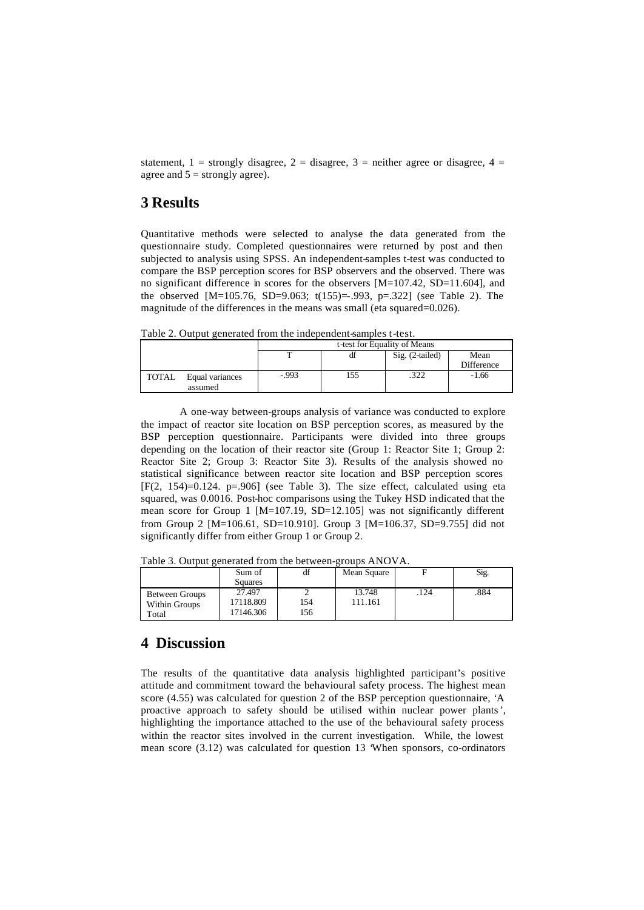statement,  $1 =$  strongly disagree,  $2 =$  disagree,  $3 =$  neither agree or disagree,  $4 =$ agree and  $5 =$  strongly agree).

### **3 Results**

Quantitative methods were selected to analyse the data generated from the questionnaire study. Completed questionnaires were returned by post and then subjected to analysis using SPSS. An independent-samples t-test was conducted to compare the BSP perception scores for BSP observers and the observed. There was no significant difference in scores for the observers [M=107.42, SD=11.604], and the observed [M=105.76, SD=9.063; t(155)=-.993, p=.322] (see Table 2). The magnitude of the differences in the means was small (eta squared=0.026).

Table 2. Output generated from the independent-samples t-test.

|              |                            | t-test for Equality of Means |     |                 |                    |
|--------------|----------------------------|------------------------------|-----|-----------------|--------------------|
|              |                            |                              | df  | Sig. (2-tailed) | Mean<br>Difference |
| <b>TOTAL</b> | Equal variances<br>assumed | $-0.993$                     | 155 | つつつ<br>ے∠د.     | $-1.66$            |

A one-way between-groups analysis of variance was conducted to explore the impact of reactor site location on BSP perception scores, as measured by the BSP perception questionnaire. Participants were divided into three groups depending on the location of their reactor site (Group 1: Reactor Site 1; Group 2: Reactor Site 2; Group 3: Reactor Site 3). Results of the analysis showed no statistical significance between reactor site location and BSP perception scores  $[F(2, 154)=0.124$ . p=.906] (see Table 3). The size effect, calculated using eta squared, was 0.0016. Post-hoc comparisons using the Tukey HSD indicated that the mean score for Group 1 [M=107.19, SD=12.105] was not significantly different from Group 2 [M=106.61, SD=10.910]. Group 3 [M=106.37, SD=9.755] did not significantly differ from either Group 1 or Group 2.

|                                          | Sum of<br><b>Squares</b>         | df         | Mean Square       |      | Sig. |
|------------------------------------------|----------------------------------|------------|-------------------|------|------|
| Between Groups<br>Within Groups<br>Total | 27.497<br>17118.809<br>17146.306 | l 54<br>56 | 13.748<br>111.161 | .124 | .884 |

Table 3. Output generated from the between-groups ANOVA.

### **4 Discussion**

The results of the quantitative data analysis highlighted participant's positive attitude and commitment toward the behavioural safety process. The highest mean score (4.55) was calculated for question 2 of the BSP perception questionnaire, 'A proactive approach to safety should be utilised within nuclear power plants', highlighting the importance attached to the use of the behavioural safety process within the reactor sites involved in the current investigation. While, the lowest mean score (3.12) was calculated for question 13 'When sponsors, co-ordinators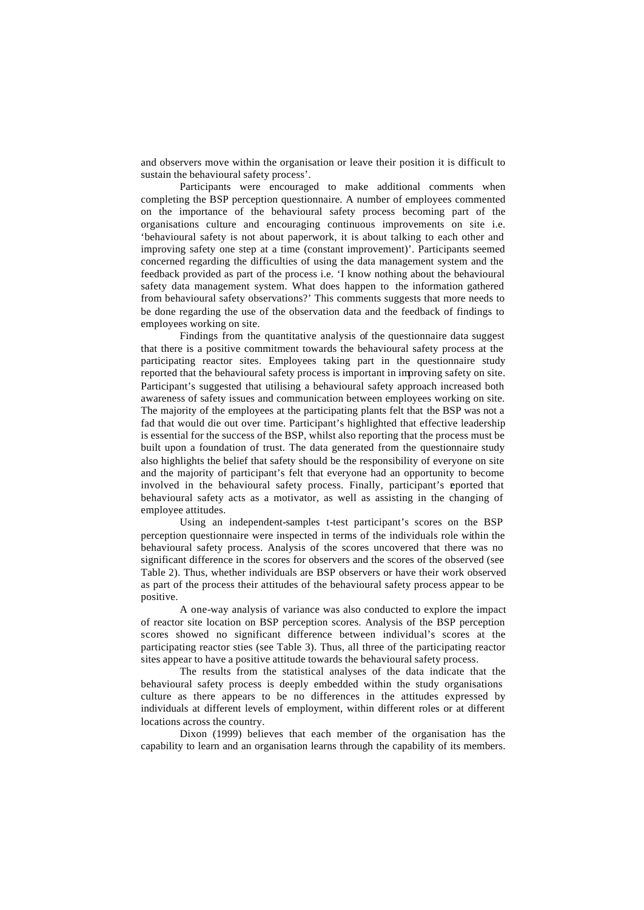and observers move within the organisation or leave their position it is difficult to sustain the behavioural safety process'.

Participants were encouraged to make additional comments when completing the BSP perception questionnaire. A number of employees commented on the importance of the behavioural safety process becoming part of the organisations culture and encouraging continuous improvements on site i.e. 'behavioural safety is not about paperwork, it is about talking to each other and improving safety one step at a time (constant improvement)'. Participants seemed concerned regarding the difficulties of using the data management system and the feedback provided as part of the process i.e. 'I know nothing about the behavioural safety data management system. What does happen to the information gathered from behavioural safety observations?' This comments suggests that more needs to be done regarding the use of the observation data and the feedback of findings to employees working on site.

Findings from the quantitative analysis of the questionnaire data suggest that there is a positive commitment towards the behavioural safety process at the participating reactor sites. Employees taking part in the questionnaire study reported that the behavioural safety process is important in improving safety on site. Participant's suggested that utilising a behavioural safety approach increased both awareness of safety issues and communication between employees working on site. The majority of the employees at the participating plants felt that the BSP was not a fad that would die out over time. Participant's highlighted that effective leadership is essential for the success of the BSP, whilst also reporting that the process must be built upon a foundation of trust. The data generated from the questionnaire study also highlights the belief that safety should be the responsibility of everyone on site and the majority of participant's felt that everyone had an opportunity to become involved in the behavioural safety process. Finally, participant's rported that behavioural safety acts as a motivator, as well as assisting in the changing of employee attitudes.

Using an independent-samples t-test participant's scores on the BSP perception questionnaire were inspected in terms of the individuals role within the behavioural safety process. Analysis of the scores uncovered that there was no significant difference in the scores for observers and the scores of the observed (see Table 2). Thus, whether individuals are BSP observers or have their work observed as part of the process their attitudes of the behavioural safety process appear to be positive.

A one-way analysis of variance was also conducted to explore the impact of reactor site location on BSP perception scores. Analysis of the BSP perception scores showed no significant difference between individual's scores at the participating reactor sties (see Table 3). Thus, all three of the participating reactor sites appear to have a positive attitude towards the behavioural safety process.

The results from the statistical analyses of the data indicate that the behavioural safety process is deeply embedded within the study organisations culture as there appears to be no differences in the attitudes expressed by individuals at different levels of employment, within different roles or at different locations across the country.

Dixon (1999) believes that each member of the organisation has the capability to learn and an organisation learns through the capability of its members.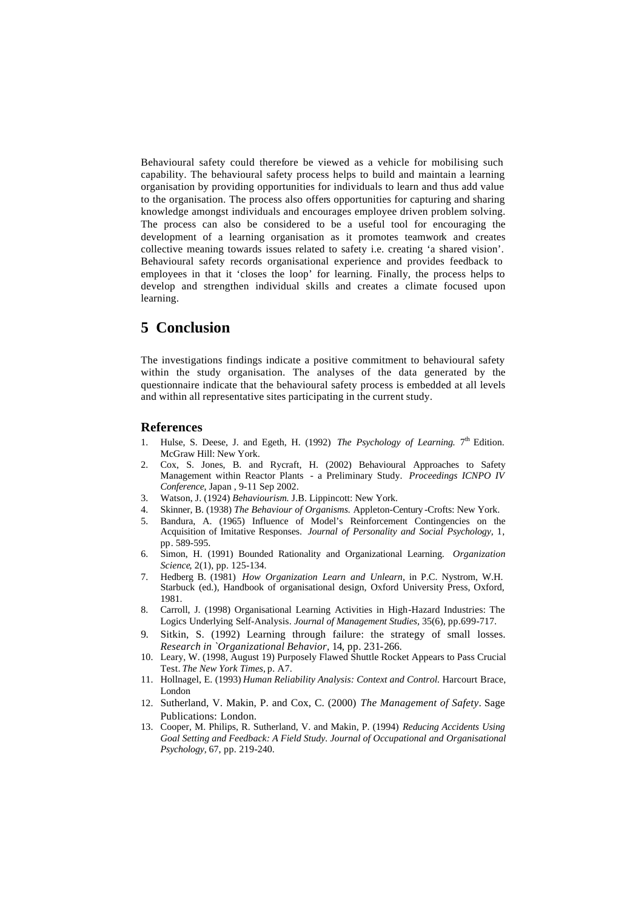Behavioural safety could therefore be viewed as a vehicle for mobilising such capability. The behavioural safety process helps to build and maintain a learning organisation by providing opportunities for individuals to learn and thus add value to the organisation. The process also offers opportunities for capturing and sharing knowledge amongst individuals and encourages employee driven problem solving. The process can also be considered to be a useful tool for encouraging the development of a learning organisation as it promotes teamwork and creates collective meaning towards issues related to safety i.e. creating 'a shared vision'. Behavioural safety records organisational experience and provides feedback to employees in that it 'closes the loop' for learning. Finally, the process helps to develop and strengthen individual skills and creates a climate focused upon learning.

# **5 Conclusion**

The investigations findings indicate a positive commitment to behavioural safety within the study organisation. The analyses of the data generated by the questionnaire indicate that the behavioural safety process is embedded at all levels and within all representative sites participating in the current study.

#### **References**

- 1. Hulse, S. Deese, J. and Egeth, H. (1992) *The Psychology of Learning*. 7<sup>th</sup> Edition. McGraw Hill: New York.
- 2. Cox, S. Jones, B. and Rycraft, H. (2002) Behavioural Approaches to Safety Management within Reactor Plants - a Preliminary Study. *Proceedings ICNPO IV Conference*, Japan , 9-11 Sep 2002.
- 3. Watson, J. (1924) *Behaviourism.* J.B. Lippincott: New York.
- 4. Skinner, B. (1938) *The Behaviour of Organisms.* Appleton-Century -Crofts: New York.
- 5. Bandura, A. (1965) Influence of Model's Reinforcement Contingencies on the Acquisition of Imitative Responses. *Journal of Personality and Social Psychology,* 1, pp. 589-595.
- 6. Simon, H. (1991) Bounded Rationality and Organizational Learning. *Organization Science*, 2(1), pp. 125-134.
- 7. Hedberg B. (1981) *How Organization Learn and Unlearn*, in P.C. Nystrom, W.H. Starbuck (ed.), Handbook of organisational design, Oxford University Press, Oxford, 1981.
- 8. Carroll, J. (1998) Organisational Learning Activities in High-Hazard Industries: The Logics Underlying Self-Analysis. *Journal of Management Studies,* 35(6), pp.699-717.
- 9. Sitkin, S. (1992) Learning through failure: the strategy of small losses. *Research in `Organizational Behavior,* 14, pp. 231-266.
- 10. Leary, W. (1998, August 19) Purposely Flawed Shuttle Rocket Appears to Pass Crucial Test. *The New York Times,* p. A7.
- 11. Hollnagel, E. (1993) *Human Reliability Analysis: Context and Control.* Harcourt Brace, London
- 12. Sutherland, V. Makin, P. and Cox, C. (2000) *The Management of Safety*. Sage Publications: London.
- 13. Cooper, M. Philips, R. Sutherland, V. and Makin, P. (1994) *Reducing Accidents Using Goal Setting and Feedback: A Field Study. Journal of Occupational and Organisational Psychology,* 67, pp. 219-240.